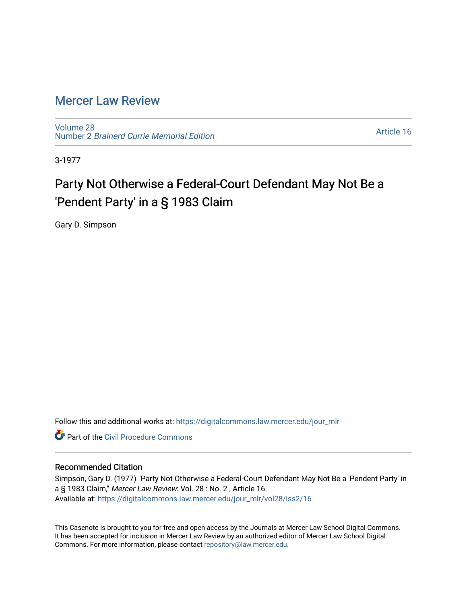## [Mercer Law Review](https://digitalcommons.law.mercer.edu/jour_mlr)

[Volume 28](https://digitalcommons.law.mercer.edu/jour_mlr/vol28) Number 2 [Brainerd Currie Memorial Edition](https://digitalcommons.law.mercer.edu/jour_mlr/vol28/iss2) 

[Article 16](https://digitalcommons.law.mercer.edu/jour_mlr/vol28/iss2/16) 

3-1977

## Party Not Otherwise a Federal-Court Defendant May Not Be a 'Pendent Party' in a § 1983 Claim

Gary D. Simpson

Follow this and additional works at: [https://digitalcommons.law.mercer.edu/jour\\_mlr](https://digitalcommons.law.mercer.edu/jour_mlr?utm_source=digitalcommons.law.mercer.edu%2Fjour_mlr%2Fvol28%2Fiss2%2F16&utm_medium=PDF&utm_campaign=PDFCoverPages)

**C** Part of the Civil Procedure Commons

## Recommended Citation

Simpson, Gary D. (1977) "Party Not Otherwise a Federal-Court Defendant May Not Be a 'Pendent Party' in a § 1983 Claim," Mercer Law Review: Vol. 28 : No. 2 , Article 16. Available at: [https://digitalcommons.law.mercer.edu/jour\\_mlr/vol28/iss2/16](https://digitalcommons.law.mercer.edu/jour_mlr/vol28/iss2/16?utm_source=digitalcommons.law.mercer.edu%2Fjour_mlr%2Fvol28%2Fiss2%2F16&utm_medium=PDF&utm_campaign=PDFCoverPages) 

This Casenote is brought to you for free and open access by the Journals at Mercer Law School Digital Commons. It has been accepted for inclusion in Mercer Law Review by an authorized editor of Mercer Law School Digital Commons. For more information, please contact [repository@law.mercer.edu.](mailto:repository@law.mercer.edu)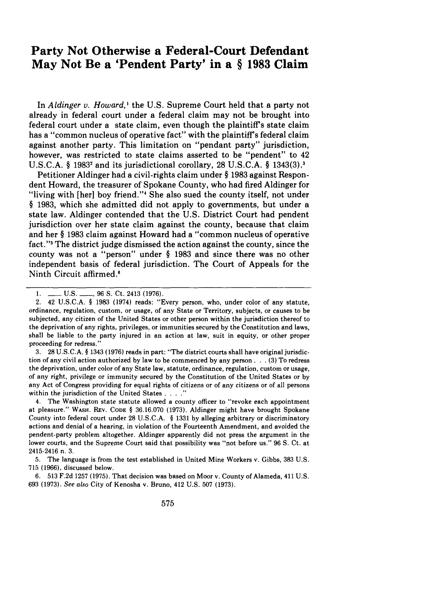## **Party Not Otherwise a Federal-Court Defendant May Not Be a 'Pendent Party' in a § 1983 Claim**

In *Aldinger v. Howard*,<sup>1</sup> the U.S. Supreme Court held that a party not already in federal court under a federal claim may not be brought into federal court under a state claim, even though the plaintiff's state claim has a "common nucleus of operative fact" with the plaintiff's federal claim against another party. This limitation on "pendant party" jurisdiction, however, was restricted to state claims asserted to be "pendent" to 42 U.S.C.A. § 1983<sup>2</sup> and its jurisdictional corollary, 28 U.S.C.A. § 1343(3).<sup>3</sup>

Petitioner Aldinger had a civil-rights claim under § 1983 against Respondent Howard, the treasurer of Spokane County, who had fired Aldinger for "living with [her] boy friend."<sup>4</sup> She also sued the county itself, not under § 1983, which she admitted did not apply to governments, but under a state law. Aldinger contended that the U.S. District Court had pendent jurisdiction over her state claim against the county, because that claim and her § 1983 claim against Howard had a "common nucleus of operative fact."'5 The district judge dismissed the action against the county, since the county was not a "person" under § 1983 and since there was no other independent basis of federal jurisdiction. The Court of Appeals for the Ninth Circuit affirmed

3. 28 **U.S.C.A.** § 1343 **(1976)** reads in part: "The district courts shall have original jurisdiction of any civil action authorized by law to be commenced by any person. **.** . **(3)** To redress the deprivation, under color of any State law, statute, ordinance, regulation, custom or usage, of any right, privilege or immunity secured by the Constitution of the United States or by any Act of Congress providing for equal rights of citizens or of any citizens or of all persons within the jurisdiction of the United States **....**

4. The Washington state statute allowed a county officer to "revoke each appointment at pleasure." WASH. REv. **CODE** § 36.16.070 (1973). Aldinger might have brought Spokane County into federal court under 28 U.S.C.A. § 1331 by alleging arbitrary or discriminatory actions and denial of a hearing, in violation of the Fourteenth Amendment, and avoided the pendent-party problem altogether. Aldinger apparently did not press the argument in the lower courts, and the Supreme Court said that possibility was "not before us." 96 **S.** Ct. at 2415-2416 n. 3.

5. The language is from the test established in United Mine Workers v. Gibbs, 383 U.S. 715 (1966), discussed below.

6. 513 F.2d 1257 (1975). That decision was based on Moor v. County of Alameda, 411 U.S. 693 (1973). See *also* City of Kenosha v. Bruno, 412 U.S. 507 (1973).

<sup>1.</sup> **--- U.S. ---, 96 S. Ct. 2413 (1976).** 

<sup>2. 42</sup> U.S.C.A. § 1983 (1974) reads: "Every person, who, under color of any statute, ordinance, regulation, custom, or usage, of any State or Territory, subjects, or causes to be subjected, any citizen of the United States or other person within the jurisdiction thereof to the deprivation of any rights, privileges, or immunities secured by the Constitution and laws, shall be liable to the party injured in an action at law, suit in equity, or other proper proceeding for redress."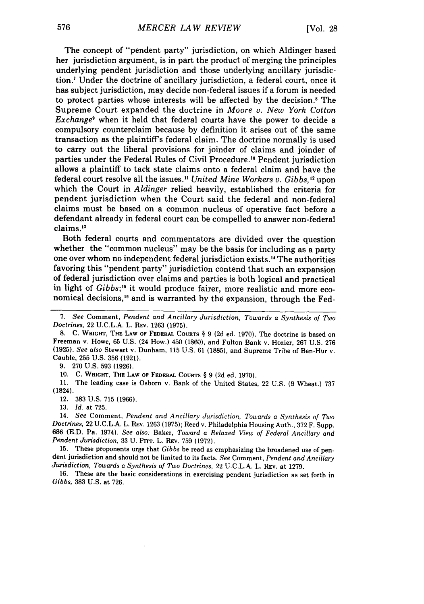The concept of "pendent party" jurisdiction, on which Aldinger based her jurisdiction argument, is in part the product of merging the principles underlying pendent jurisdiction and those underlying ancillary jurisdiction.<sup>7</sup> Under the doctrine of ancillary jurisdiction, a federal court, once it has subject jurisdiction, may decide non-federal issues if a forum is needed to protect parties whose interests will be affected by the decision.' The Supreme Court expanded the doctrine in *Moore v. New York Cotton Exchange'* when it held that federal courts have the power to decide a compulsory counterclaim because by definition it arises out of the same transaction as the plaintiffs federal claim. The doctrine normally is used to carry out the liberal provisions for joinder of claims and joinder of parties under the Federal Rules of Civil Procedure.10 Pendent jurisdiction allows a plaintiff to tack state claims onto a federal claim and have the federal court resolve all the issues." *United Mine Workers v. Gibbs, 2* upon which the Court in *Aldinger* relied heavily, established the criteria for pendent jurisdiction when the Court said the federal and non-federal claims must be based on a common nucleus of operative fact before a defendant already in federal court can be compelled to answer non-federal claims.<sup>13</sup>

Both federal courts and commentators are divided over the question whether the "common nucleus" may be the basis for including as a party one over whom no independent federal jurisdiction exists." The authorities favoring this "pendent party" jurisdiction contend that such an expansion of federal jurisdiction over claims and parties is both logical and practical in light of *Gibbs*;<sup>15</sup> it would produce fairer, more realistic and more economical decisions,<sup>16</sup> and is warranted by the expansion, through the Fed-

**9. 270** U.S. **593 (1926).**

**10. C.** WRIGHT, THE **LAW OF** FEDERAL **COURTS** § 9 **(2d** ed. **1970).**

11. The leading case is Osborn v. Bank of the United States, 22 U.S. (9 Wheat.) **737** (1824).

12. **383 U.S. 715 (1966).**

**13.** *Id.* at **725.**

14. *See* Comment, *Pendent and Ancillary Jurisdiction, Towards a Synthesis of Two Doctrines,* 22 U.C.L.A. L. REV. 1263 (1975); Reed v. Philadelphia Housing Auth., 372 F. Supp. 686 (E.D. Pa. 1974). *See also:* Baker, *Toward a Relaxed View of Federal Ancillary and Pendent Jurisdiction,* 33 U. Prrr. L. REV. 759 (1972).

15. These proponents urge that *Gibbs* be read as emphasizing the broadened use of pendent jurisdiction and should not be limited to its facts. *See* Comment, *Pendent and Ancillary Jurisdiction, Towards a Synthesis of Two Doctrines,* 22 U.C.L.A. L. REV. at 1279.

16. These are the basic considerations in exercising pendent jurisdiction as set forth in *Gibbs,* 383 U.S. at 726.

*<sup>7.</sup> See* Comment, *Pendent and Ancillary Jurisdiction, Towards a Synthesis of Two Doctrines,* 22 U.C.L.A. L. REv. 1263 (1975).

<sup>8.</sup> C. WRIGHT, THE LAW OF FEDERAL COURTS § 9 (2d ed. 1970). The doctrine is based on Freeman v. Howe, 65 U.S. (24 How.) 450 (1860), and Fulton Bank v. Hozier, 267 U.S. 276 **(1925).** *See also* Stewart v. Dunham, **115** U.S. 61 **(1885),** and Supreme Tribe of Ben-Hur v. Cauble, **255** U.S. **356 (1921).**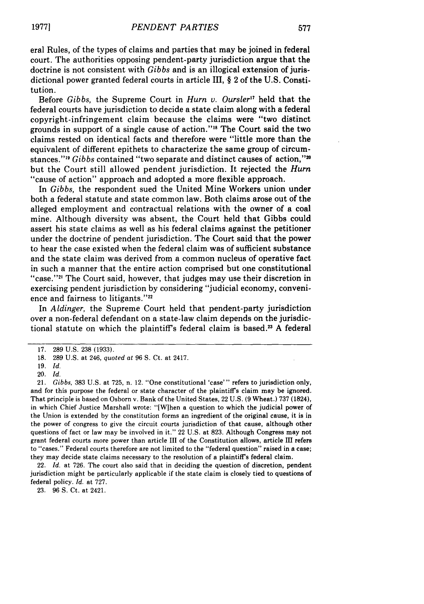eral Rules, of the types of claims and parties that may be joined in federal court. The authorities opposing pendent-party jurisdiction argue that the doctrine is not consistent with *Gibbs* and is an illogical extension of jurisdictional power granted federal courts in article Ill, § 2 of the U.S. Constitution.

Before *Gibbs,* the Supreme Court in Hurn *v. Oursler"* held that the federal courts have jurisdiction to decide a state claim along with a federal copyright-infringement claim because the claims were "two distinct grounds in support of a single cause of action."'" The Court said the two claims rested on identical facts and therefore were "little more than the equivalent of different epithets to characterize the same group of circumstances."' <sup>9</sup>*Gibbs* contained "two separate and distinct causes of action," <sup>z</sup> but the Court still allowed pendent jurisdiction. It rejected the *Hum* "cause of action" approach and adopted a more flexible approach.

In *Gibbs,* the respondent sued the United Mine Workers union under both a federal statute and state common law. Both claims arose out of the alleged employment and contractual relations with the owner of a coal mine. Although diversity was absent, the Court held that Gibbs could assert his state claims as well as his federal claims against the petitioner under the doctrine of pendent jurisdiction. The Court said that the power to hear the case existed when the federal claim was of sufficient substance and the state claim was derived from a common nucleus of operative fact in such a manner that the entire action comprised but one constitutional "case."<sup>21</sup> The Court said, however, that judges may use their discretion in exercising pendent jurisdiction by considering "judicial economy, convenience and fairness to litigants."<sup>22</sup>

In *A ldinger,* the Supreme Court held that pendent-party jurisdiction over a non-federal defendant on a state-law claim depends on the jurisdictional statute on which the plaintiff's federal claim is based.<sup>23</sup> A federal

21. *Gibbs,* 383 U.S. at 725, n. 12. "One constitutional 'case'" refers to jurisdiction only, and for this purpose the federal or state character of the plaintiff's claim may be ignored. That principle is based on Osborn v. Bank of the United States, 22 U.S. (9 Wheat.) 737 (1824), in which Chief Justice Marshall wrote: "[Wihen a question to which the judicial power of the Union is extended **by** the constitution forms an ingredient of the original cause, it is in the power of congress to give the circuit courts jurisdiction of that cause, although other questions of fact or law may be involved in it." 22 U.S. at 823. Although Congress may not grant federal courts more power than article III of the Constitution allows, article 1II refers to "cases." Federal courts therefore are not limited to the "federal question" raised in a case; they may decide state claims necessary to the resolution of a plaintiff's federal claim.

22. *Id.* at 726. The court also said that in deciding the question of discretion, pendent jurisdiction might be particularly applicable if the state claim is closely tied to questions of federal policy. *Id.* at 727.

23. 96 **S.** Ct. at 2421.

<sup>17. 289</sup> U.S. 238 (1933).

<sup>18. 289</sup> U.S. at 246, quoted at 96 S. Ct. at 2417.

<sup>19.</sup> *Id.*

<sup>20.</sup> *Id.*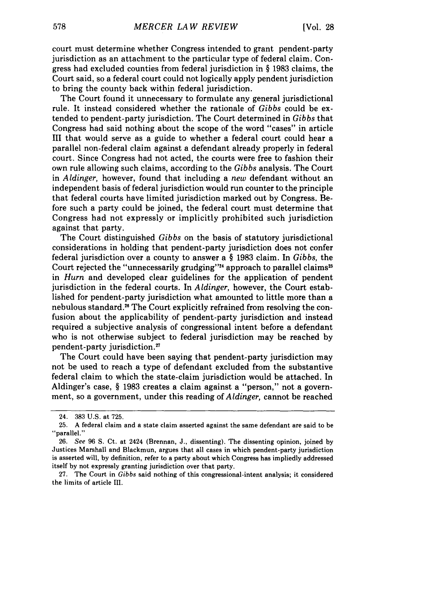court must determine whether Congress intended to grant pendent-party jurisdiction as an attachment to the particular type of federal claim. Congress had excluded counties from federal jurisdiction in § 1983 claims, the Court said, so a federal court could not logically apply pendent jurisdiction to bring the county back within federal jurisdiction.

The Court found it unnecessary to formulate any general jurisdictional rule. It instead considered whether the rationale of *Gibbs* could be extended to pendent-party jurisdiction. The Court determined in *Gibbs* that Congress had said nothing about the scope of the word "cases" in article III that would serve as a guide to whether a federal court could hear a parallel non-federal claim against a defendant already properly in federal court. Since Congress had not acted, the courts were free to fashion their own rule allowing such claims, according to the *Gibbs* analysis. The Court in *Aldinger,* however, found that including a *new* defendant without an independent basis of federal jurisdiction would run counter to the principle that federal courts have limited jurisdiction marked out by Congress. Before such a party could be joined, the federal court must determine that Congress had not expressly or implicitly prohibited such jurisdiction against that party.

The Court distinguished *Gibbs* on the basis of statutory jurisdictional considerations in holding that pendent-party jurisdiction does not confer federal jurisdiction over a county to answer a § 1983 claim. In *Gibbs,* the Court rejected the "unnecessarily grudging"<sup>24</sup> approach to parallel claims<sup>25</sup> in *Hurn* and developed clear guidelines for the application of pendent jurisdiction in the federal courts. In *Aldinger,* however, the Court established for pendent-party jurisdiction what amounted to little more than a nebulous standard."6 The Court explicitly refrained from resolving the confusion about the applicability of pendent-party jurisdiction and instead required a subjective analysis of congressional intent before a defendant who is not otherwise subject to federal jurisdiction may be reached by pendent-party jurisdiction.<sup>27</sup>

The Court could have been saying that pendent-party jurisdiction may not be used to reach a type of defendant excluded from the substantive federal claim to which the state-claim jurisdiction would be attached. In Aldinger's case, § 1983 creates a claim against a "person," not a government, so a government, under this reading of *Aldinger,* cannot be reached

<sup>24. 383</sup> U.S. at 725.

<sup>25.</sup> A federal claim and a state claim asserted against the same defendant are said to be "parallel."

<sup>26.</sup> *See* **96** S. Ct. at 2424 (Brennan, J., dissenting). The dissenting opinion, joined by Justices Marshall and Blackmun, argues that all cases in which pendent-party jurisdiction is asserted will, by definition, refer to a party about which Congress has impliedly addressed itself by not expressly granting jurisdiction over that party.

<sup>27.</sup> The Court in *Gibbs* said nothing of this congressional-intent analysis; it considered the limits of article III.